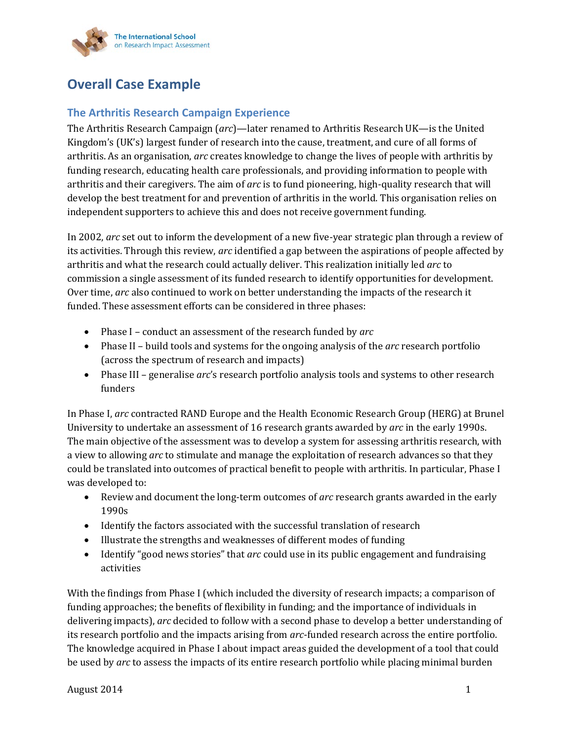

# **Overall Case Example**

# **The Arthritis Research Campaign Experience**

The Arthritis Research Campaign (*arc*)—later renamed to Arthritis Research UK—is the United Kingdom's (UK's) largest funder of research into the cause, treatment, and cure of all forms of arthritis. As an organisation, *arc* creates knowledge to change the lives of people with arthritis by funding research, educating health care professionals, and providing information to people with arthritis and their caregivers. The aim of *arc* is to fund pioneering, high-quality research that will develop the best treatment for and prevention of arthritis in the world. This organisation relies on independent supporters to achieve this and does not receive government funding.

In 2002, *arc* set out to inform the development of a new five-year strategic plan through a review of its activities. Through this review, *arc* identified a gap between the aspirations of people affected by arthritis and what the research could actually deliver. This realization initially led *arc* to commission a single assessment of its funded research to identify opportunities for development. Over time, *arc* also continued to work on better understanding the impacts of the research it funded. These assessment efforts can be considered in three phases:

- Phase I conduct an assessment of the research funded by *arc*
- Phase II build tools and systems for the ongoing analysis of the *arc* research portfolio (across the spectrum of research and impacts)
- Phase III generalise *arc*'s research portfolio analysis tools and systems to other research funders

In Phase I, *arc* contracted RAND Europe and the Health Economic Research Group (HERG) at Brunel University to undertake an assessment of 16 research grants awarded by *arc* in the early 1990s. The main objective of the assessment was to develop a system for assessing arthritis research, with a view to allowing *arc* to stimulate and manage the exploitation of research advances so that they could be translated into outcomes of practical benefit to people with arthritis. In particular, Phase I was developed to:

- Review and document the long-term outcomes of *arc* research grants awarded in the early 1990s
- Identify the factors associated with the successful translation of research
- Illustrate the strengths and weaknesses of different modes of funding
- Identify "good news stories" that *arc* could use in its public engagement and fundraising activities

With the findings from Phase I (which included the diversity of research impacts; a comparison of funding approaches; the benefits of flexibility in funding; and the importance of individuals in delivering impacts), *arc* decided to follow with a second phase to develop a better understanding of its research portfolio and the impacts arising from *arc*-funded research across the entire portfolio. The knowledge acquired in Phase I about impact areas guided the development of a tool that could be used by *arc* to assess the impacts of its entire research portfolio while placing minimal burden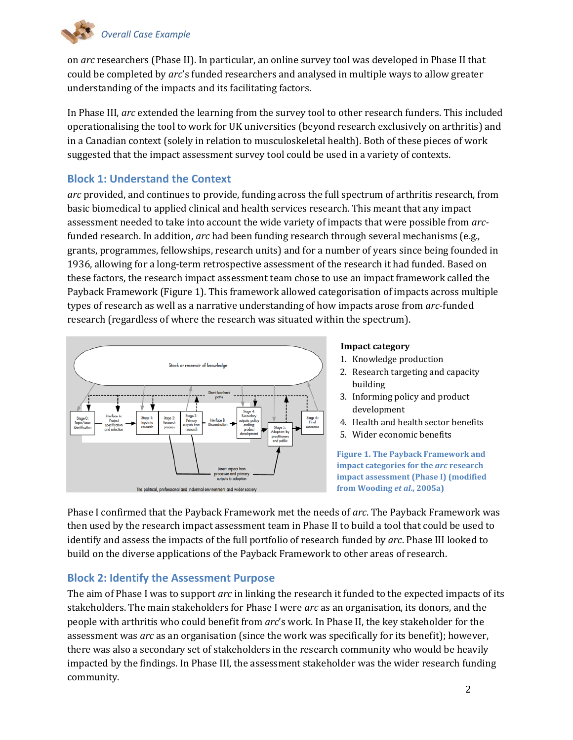

on *arc* researchers (Phase II). In particular, an online survey tool was developed in Phase II that could be completed by *arc*'s funded researchers and analysed in multiple ways to allow greater understanding of the impacts and its facilitating factors.

In Phase III, *arc* extended the learning from the survey tool to other research funders. This included operationalising the tool to work for UK universities (beyond research exclusively on arthritis) and in a Canadian context (solely in relation to musculoskeletal health). Both of these pieces of work suggested that the impact assessment survey tool could be used in a variety of contexts.

# **Block 1: Understand the Context**

*arc* provided, and continues to provide, funding across the full spectrum of arthritis research, from basic biomedical to applied clinical and health services research. This meant that any impact assessment needed to take into account the wide variety of impacts that were possible from *arc*funded research. In addition, *arc* had been funding research through several mechanisms (e.g., grants, programmes, fellowships, research units) and for a number of years since being founded in 1936, allowing for a long-term retrospective assessment of the research it had funded. Based on these factors, the research impact assessment team chose to use an impact framework called the Payback Framework (Figure 1). This framework allowed categorisation of impacts across multiple types of research as well as a narrative understanding of how impacts arose from *arc*-funded research (regardless of where the research was situated within the spectrum).



#### **Impact category**

- 1. Knowledge production
- 2. Research targeting and capacity building
- 3. Informing policy and product development
- 4. Health and health sector benefits
- 5. Wider economic benefits

**Figure 1. The Payback Framework and impact categories for the** *arc* **research impact assessment (Phase I) (modified from Wooding** *et al***., 2005a)**

Phase I confirmed that the Payback Framework met the needs of *arc*. The Payback Framework was then used by the research impact assessment team in Phase II to build a tool that could be used to identify and assess the impacts of the full portfolio of research funded by *arc*. Phase III looked to build on the diverse applications of the Payback Framework to other areas of research.

### **Block 2: Identify the Assessment Purpose**

The aim of Phase I was to support *arc* in linking the research it funded to the expected impacts of its stakeholders. The main stakeholders for Phase I were *arc* as an organisation, its donors, and the people with arthritis who could benefit from *arc*'s work. In Phase II, the key stakeholder for the assessment was *arc* as an organisation (since the work was specifically for its benefit); however, there was also a secondary set of stakeholders in the research community who would be heavily impacted by the findings. In Phase III, the assessment stakeholder was the wider research funding community.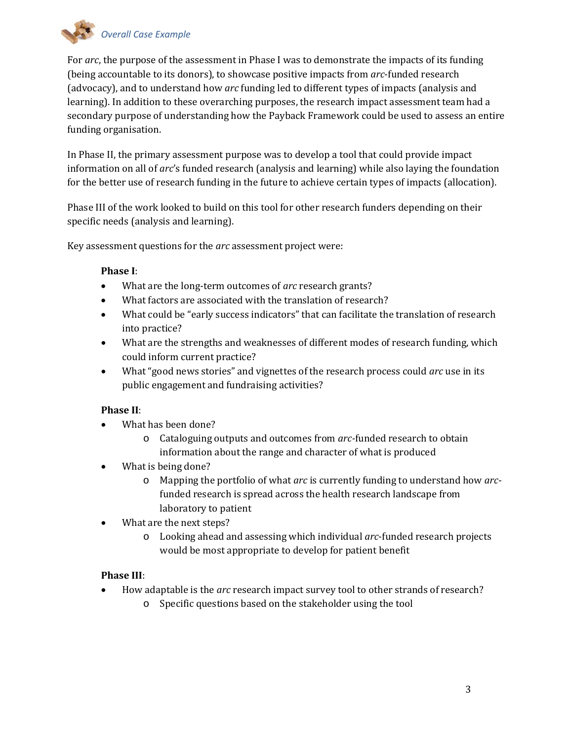

For *arc*, the purpose of the assessment in Phase I was to demonstrate the impacts of its funding (being accountable to its donors), to showcase positive impacts from *arc*-funded research (advocacy), and to understand how *arc* funding led to different types of impacts (analysis and learning). In addition to these overarching purposes, the research impact assessment team had a secondary purpose of understanding how the Payback Framework could be used to assess an entire funding organisation.

In Phase II, the primary assessment purpose was to develop a tool that could provide impact information on all of *arc*'s funded research (analysis and learning) while also laying the foundation for the better use of research funding in the future to achieve certain types of impacts (allocation).

Phase III of the work looked to build on this tool for other research funders depending on their specific needs (analysis and learning).

Key assessment questions for the *arc* assessment project were:

#### **Phase I**:

- What are the long-term outcomes of *arc* research grants?
- What factors are associated with the translation of research?
- What could be "early success indicators" that can facilitate the translation of research into practice?
- What are the strengths and weaknesses of different modes of research funding, which could inform current practice?
- What "good news stories" and vignettes of the research process could *arc* use in its public engagement and fundraising activities?

#### **Phase II**:

- What has been done?
	- o Cataloguing outputs and outcomes from *arc-*funded research to obtain information about the range and character of what is produced
- What is being done?
	- o Mapping the portfolio of what *arc* is currently funding to understand how *arc*funded research is spread across the health research landscape from laboratory to patient
- What are the next steps?
	- o Looking ahead and assessing which individual *arc*-funded research projects would be most appropriate to develop for patient benefit

### **Phase III**:

- How adaptable is the *arc* research impact survey tool to other strands of research?
	- o Specific questions based on the stakeholder using the tool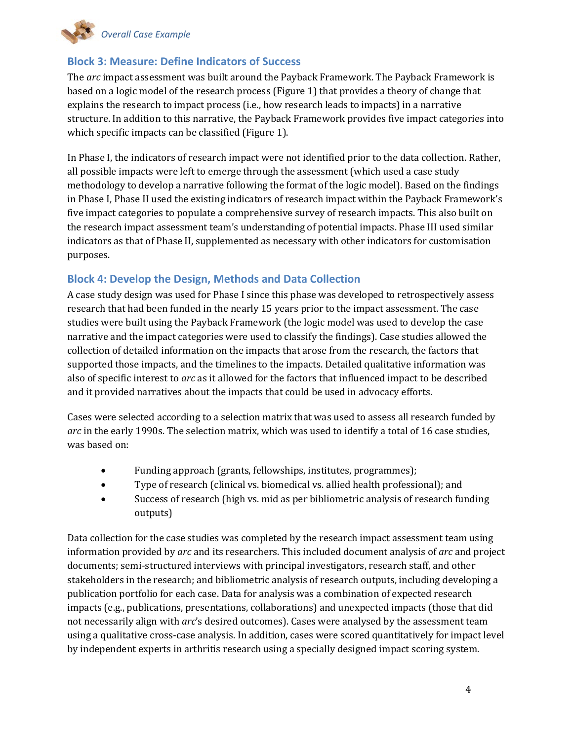

# **Block 3: Measure: Define Indicators of Success**

The *arc* impact assessment was built around the Payback Framework. The Payback Framework is based on a logic model of the research process (Figure 1) that provides a theory of change that explains the research to impact process (i.e., how research leads to impacts) in a narrative structure. In addition to this narrative, the Payback Framework provides five impact categories into which specific impacts can be classified (Figure 1).

In Phase I, the indicators of research impact were not identified prior to the data collection. Rather, all possible impacts were left to emerge through the assessment (which used a case study methodology to develop a narrative following the format of the logic model). Based on the findings in Phase I, Phase II used the existing indicators of research impact within the Payback Framework's five impact categories to populate a comprehensive survey of research impacts. This also built on the research impact assessment team's understanding of potential impacts. Phase III used similar indicators as that of Phase II, supplemented as necessary with other indicators for customisation purposes.

# **Block 4: Develop the Design, Methods and Data Collection**

A case study design was used for Phase I since this phase was developed to retrospectively assess research that had been funded in the nearly 15 years prior to the impact assessment. The case studies were built using the Payback Framework (the logic model was used to develop the case narrative and the impact categories were used to classify the findings). Case studies allowed the collection of detailed information on the impacts that arose from the research, the factors that supported those impacts, and the timelines to the impacts. Detailed qualitative information was also of specific interest to *arc* as it allowed for the factors that influenced impact to be described and it provided narratives about the impacts that could be used in advocacy efforts.

Cases were selected according to a selection matrix that was used to assess all research funded by *arc* in the early 1990s. The selection matrix, which was used to identify a total of 16 case studies, was based on:

- Funding approach (grants, fellowships, institutes, programmes);
- Type of research (clinical vs. biomedical vs. allied health professional); and
- Success of research (high vs. mid as per bibliometric analysis of research funding outputs)

Data collection for the case studies was completed by the research impact assessment team using information provided by *arc* and its researchers. This included document analysis of *arc* and project documents; semi-structured interviews with principal investigators, research staff, and other stakeholders in the research; and bibliometric analysis of research outputs, including developing a publication portfolio for each case. Data for analysis was a combination of expected research impacts (e.g., publications, presentations, collaborations) and unexpected impacts (those that did not necessarily align with *arc*'s desired outcomes). Cases were analysed by the assessment team using a qualitative cross-case analysis. In addition, cases were scored quantitatively for impact level by independent experts in arthritis research using a specially designed impact scoring system.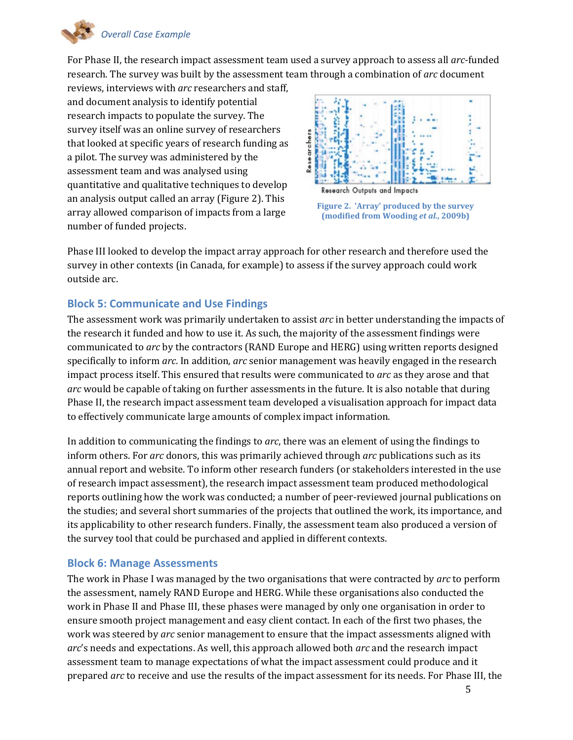

For Phase II, the research impact assessment team used a survey approach to assess all *arc*-funded research. The survey was built by the assessment team through a combination of *arc* document

reviews, interviews with *arc* researchers and staff, and document analysis to identify potential research impacts to populate the survey. The survey itself was an online survey of researchers that looked at specific years of research funding as a pilot. The survey was administered by the assessment team and was analysed using quantitative and qualitative techniques to develop an analysis output called an array (Figure 2). This array allowed comparison of impacts from a large number of funded projects.





Phase III looked to develop the impact array approach for other research and therefore used the survey in other contexts (in Canada, for example) to assess if the survey approach could work outside arc.

# **Block 5: Communicate and Use Findings**

The assessment work was primarily undertaken to assist *arc* in better understanding the impacts of the research it funded and how to use it. As such, the majority of the assessment findings were communicated to *arc* by the contractors (RAND Europe and HERG) using written reports designed specifically to inform *arc*. In addition, *arc* senior management was heavily engaged in the research impact process itself. This ensured that results were communicated to *arc* as they arose and that *arc* would be capable of taking on further assessments in the future. It is also notable that during Phase II, the research impact assessment team developed a visualisation approach for impact data to effectively communicate large amounts of complex impact information.

In addition to communicating the findings to *arc*, there was an element of using the findings to inform others. For *arc* donors, this was primarily achieved through *arc* publications such as its annual report and website. To inform other research funders (or stakeholders interested in the use of research impact assessment), the research impact assessment team produced methodological reports outlining how the work was conducted; a number of peer-reviewed journal publications on the studies; and several short summaries of the projects that outlined the work, its importance, and its applicability to other research funders. Finally, the assessment team also produced a version of the survey tool that could be purchased and applied in different contexts.

### **Block 6: Manage Assessments**

The work in Phase I was managed by the two organisations that were contracted by *arc* to perform the assessment, namely RAND Europe and HERG. While these organisations also conducted the work in Phase II and Phase III, these phases were managed by only one organisation in order to ensure smooth project management and easy client contact. In each of the first two phases, the work was steered by *arc* senior management to ensure that the impact assessments aligned with *arc*'s needs and expectations. As well, this approach allowed both *arc* and the research impact assessment team to manage expectations of what the impact assessment could produce and it prepared *arc* to receive and use the results of the impact assessment for its needs. For Phase III, the